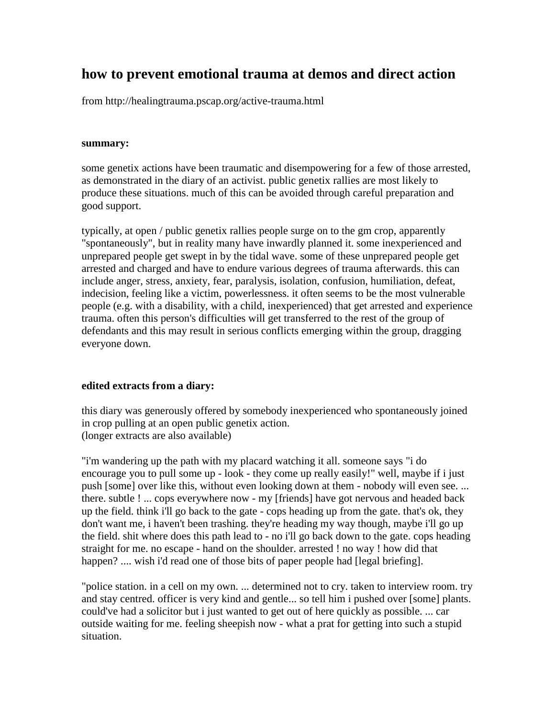# **how to prevent emotional trauma at demos and direct action**

from http://healingtrauma.pscap.org/active-trauma.html

#### **summary:**

some genetix actions have been traumatic and disempowering for a few of those arrested, as demonstrated in the diary of an activist. public genetix rallies are most likely to produce these situations. much of this can be avoided through careful preparation and good support.

typically, at open / public genetix rallies people surge on to the gm crop, apparently "spontaneously", but in reality many have inwardly planned it. some inexperienced and unprepared people get swept in by the tidal wave. some of these unprepared people get arrested and charged and have to endure various degrees of trauma afterwards. this can include anger, stress, anxiety, fear, paralysis, isolation, confusion, humiliation, defeat, indecision, feeling like a victim, powerlessness. it often seems to be the most vulnerable people (e.g. with a disability, with a child, inexperienced) that get arrested and experience trauma. often this person's difficulties will get transferred to the rest of the group of defendants and this may result in serious conflicts emerging within the group, dragging everyone down.

## **edited extracts from a diary:**

this diary was generously offered by somebody inexperienced who spontaneously joined in crop pulling at an open public genetix action. (longer extracts are also available)

"i'm wandering up the path with my placard watching it all. someone says "i do encourage you to pull some up - look - they come up really easily!" well, maybe if i just push [some] over like this, without even looking down at them - nobody will even see. ... there. subtle ! ... cops everywhere now - my [friends] have got nervous and headed back up the field. think i'll go back to the gate - cops heading up from the gate. that's ok, they don't want me, i haven't been trashing. they're heading my way though, maybe i'll go up the field. shit where does this path lead to - no i'll go back down to the gate. cops heading straight for me. no escape - hand on the shoulder. arrested ! no way ! how did that happen? .... wish i'd read one of those bits of paper people had [legal briefing].

"police station. in a cell on my own. ... determined not to cry. taken to interview room. try and stay centred. officer is very kind and gentle... so tell him i pushed over [some] plants. could've had a solicitor but i just wanted to get out of here quickly as possible. ... car outside waiting for me. feeling sheepish now - what a prat for getting into such a stupid situation.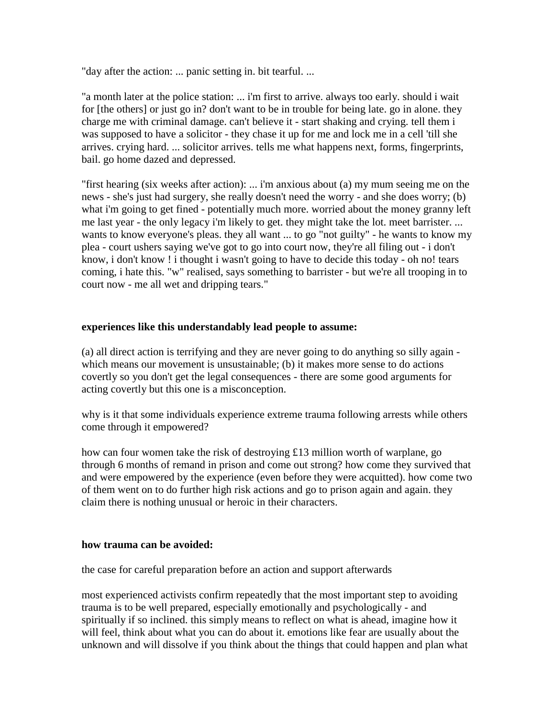"day after the action: ... panic setting in. bit tearful. ...

"a month later at the police station: ... i'm first to arrive. always too early. should i wait for [the others] or just go in? don't want to be in trouble for being late. go in alone. they charge me with criminal damage. can't believe it - start shaking and crying. tell them i was supposed to have a solicitor - they chase it up for me and lock me in a cell 'till she arrives. crying hard. ... solicitor arrives. tells me what happens next, forms, fingerprints, bail. go home dazed and depressed.

"first hearing (six weeks after action): ... i'm anxious about (a) my mum seeing me on the news - she's just had surgery, she really doesn't need the worry - and she does worry; (b) what i'm going to get fined - potentially much more. worried about the money granny left me last year - the only legacy i'm likely to get. they might take the lot. meet barrister. ... wants to know everyone's pleas. they all want ... to go "not guilty" - he wants to know my plea - court ushers saying we've got to go into court now, they're all filing out - i don't know, i don't know ! i thought i wasn't going to have to decide this today - oh no! tears coming, i hate this. "w" realised, says something to barrister - but we're all trooping in to court now - me all wet and dripping tears."

## **experiences like this understandably lead people to assume:**

(a) all direct action is terrifying and they are never going to do anything so silly again which means our movement is unsustainable; (b) it makes more sense to do actions covertly so you don't get the legal consequences - there are some good arguments for acting covertly but this one is a misconception.

why is it that some individuals experience extreme trauma following arrests while others come through it empowered?

how can four women take the risk of destroying £13 million worth of warplane, go through 6 months of remand in prison and come out strong? how come they survived that and were empowered by the experience (even before they were acquitted). how come two of them went on to do further high risk actions and go to prison again and again. they claim there is nothing unusual or heroic in their characters.

#### **how trauma can be avoided:**

the case for careful preparation before an action and support afterwards

most experienced activists confirm repeatedly that the most important step to avoiding trauma is to be well prepared, especially emotionally and psychologically - and spiritually if so inclined. this simply means to reflect on what is ahead, imagine how it will feel, think about what you can do about it. emotions like fear are usually about the unknown and will dissolve if you think about the things that could happen and plan what